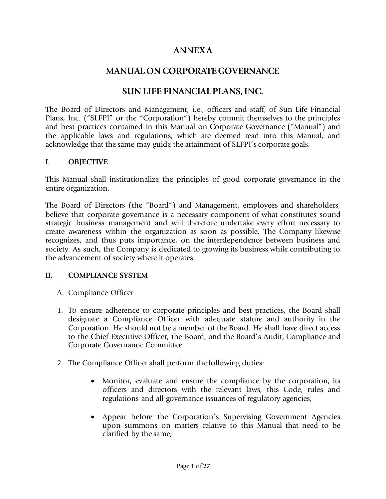# **ANNEX A**

## **MANUAL ON CORPORATE GOVERNANCE**

### **SUN LIFE FINANCIAL PLANS, INC.**

The Board of Directors and Management, i.e., officers and staff, of Sun Life Financial Plans, Inc. ("SLFPI" or the "Corporation") hereby commit themselves to the principles and best practices contained in this Manual on Corporate Governance ("Manual") and the applicable laws and regulations, which are deemed read into this Manual, and acknowledge that the same may guide the attainment of SLFPI's corporate goals.

#### **I. OBJECTIVE**

This Manual shall institutionalize the principles of good corporate governance in the entire organization.

The Board of Directors (the "Board") and Management, employees and shareholders, believe that corporate governance is a necessary component of what constitutes sound strategic business management and will therefore undertake every effort necessary to create awareness within the organization as soon as possible. The Company likewise recognizes, and thus puts importance, on the interdependence between business and society. As such, the Company is dedicated to growing its business while contributing to the advancement of society where it operates.

#### **II. COMPLIANCE SYSTEM**

- A. Compliance Officer
- 1. To ensure adherence to corporate principles and best practices, the Board shall designate a Compliance Officer with adequate stature and authority in the Corporation. He should not be a member of the Board. He shall have direct access to the Chief Executive Officer, the Board, and the Board's Audit, Compliance and Corporate Governance Committee.
- 2. The Compliance Officer shall perform the following duties:
	- Monitor, evaluate and ensure the compliance by the corporation, its officers and directors with the relevant laws, this Code, rules and regulations and all governance issuances of regulatory agencies;
	- Appear before the Corporation's Supervising Government Agencies upon summons on matters relative to this Manual that need to be clarified by the same;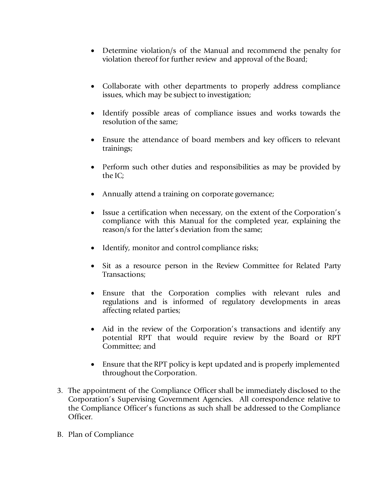- Determine violation/s of the Manual and recommend the penalty for violation thereof for further review and approval of the Board;
- Collaborate with other departments to properly address compliance issues, which may be subject to investigation;
- Identify possible areas of compliance issues and works towards the resolution of the same;
- Ensure the attendance of board members and key officers to relevant trainings;
- Perform such other duties and responsibilities as may be provided by the IC;
- Annually attend a training on corporate governance;
- Issue a certification when necessary, on the extent of the Corporation's compliance with this Manual for the completed year, explaining the reason/s for the latter's deviation from the same;
- Identify, monitor and control compliance risks;
- Sit as a resource person in the Review Committee for Related Party Transactions;
- Ensure that the Corporation complies with relevant rules and regulations and is informed of regulatory developments in areas affecting related parties;
- Aid in the review of the Corporation's transactions and identify any potential RPT that would require review by the Board or RPT Committee; and
- Ensure that the RPT policy is kept updated and is properly implemented throughout the Corporation.
- 3. The appointment of the Compliance Officer shall be immediately disclosed to the Corporation's Supervising Government Agencies. All correspondence relative to the Compliance Officer's functions as such shall be addressed to the Compliance Officer.
- B. Plan of Compliance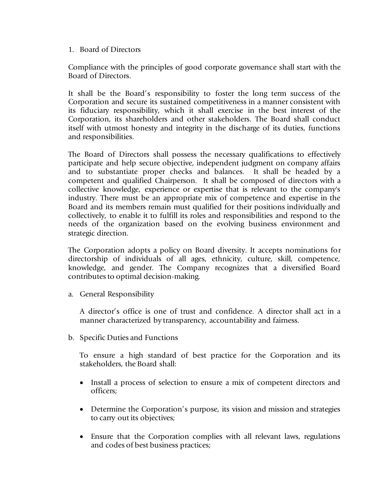1. Board of Directors

Compliance with the principles of good corporate governance shall start with the Board of Directors.

It shall be the Board's responsibility to foster the long term success of the Corporation and secure its sustained competitiveness in a manner consistent with its fiduciary responsibility, which it shall exercise in the best interest of the Corporation, its shareholders and other stakeholders. The Board shall conduct itself with utmost honesty and integrity in the discharge of its duties, functions and responsibilities.

The Board of Directors shall possess the necessary qualifications to effectively participate and help secure objective, independent judgment on company affairs and to substantiate proper checks and balances. It shall be headed by a competent and qualified Chairperson. It shall be composed of directors with a collective knowledge, experience or expertise that is relevant to the company's industry. There must be an appropriate mix of competence and expertise in the Board and its members remain must qualified for their positions individually and collectively, to enable it to fulfill its roles and responsibilities and respond to the needs of the organization based on the evolving business environment and strategic direction.

The Corporation adopts a policy on Board diversity. It accepts nominations for directorship of individuals of all ages, ethnicity, culture, skill, competence, knowledge, and gender. The Company recognizes that a diversified Board contributes to optimal decision-making.

a. General Responsibility

A director's office is one of trust and confidence. A director shall act in a manner characterized by transparency, accountability and fairness.

b. Specific Duties and Functions

To ensure a high standard of best practice for the Corporation and its stakeholders, the Board shall:

- Install a process of selection to ensure a mix of competent directors and officers;
- Determine the Corporation's purpose, its vision and mission and strategies to carry out its objectives;
- Ensure that the Corporation complies with all relevant laws, regulations and codes of best business practices;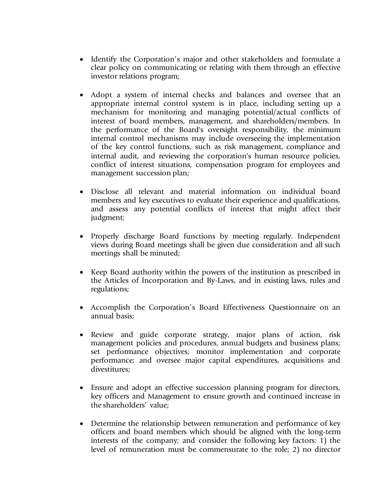- Identify the Corporation's major and other stakeholders and formulate a clear policy on communicating or relating with them through an effective investor relations program;
- Adopt a system of internal checks and balances and oversee that an appropriate internal control system is in place, including setting up a mechanism for monitoring and managing potential/actual conflicts of interest of board members, management, and shareholders/members. In the performance of the Board's oversight responsibility, the minimum internal control mechanisms may include overseeing the implementation of the key control functions, such as risk management, compliance and internal audit, and reviewing the corporation's human resource policies, conflict of interest situations, compensation program for employees and management succession plan;
- Disclose all relevant and material information on individual board members and key executives to evaluate their experience and qualifications, and assess any potential conflicts of interest that might affect their judgment;
- Properly discharge Board functions by meeting regularly. Independent views during Board meetings shall be given due consideration and all such meetings shall be minuted;
- Keep Board authority within the powers of the institution as prescribed in the Articles of Incorporation and By-Laws, and in existing laws, rules and regulations;
- Accomplish the Corporation's Board Effectiveness Questionnaire on an annual basis;
- Review and guide corporate strategy, major plans of action, risk management policies and procedures, annual budgets and business plans; set performance objectives; monitor implementation and corporate performance; and oversee major capital expenditures, acquisitions and divestitures;
- Ensure and adopt an effective succession planning program for directors, key officers and Management to ensure growth and continued increase in the shareholders' value;
- Determine the relationship between remuneration and performance of key officers and board members which should be aligned with the long-term interests of the company; and consider the following key factors: 1) the level of remuneration must be commensurate to the role; 2) no director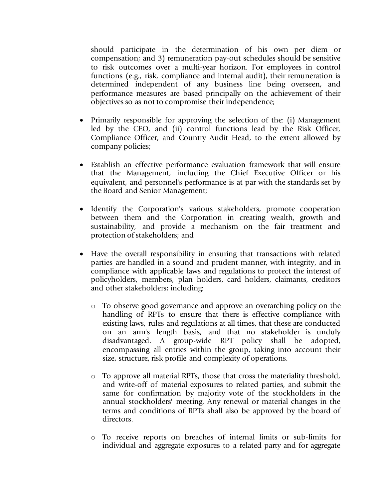should participate in the determination of his own per diem or compensation; and 3) remuneration pay-out schedules should be sensitive to risk outcomes over a multi-year horizon. For employees in control functions (e.g., risk, compliance and internal audit), their remuneration is determined independent of any business line being overseen, and performance measures are based principally on the achievement of their objectives so as not to compromise their independence;

- Primarily responsible for approving the selection of the: (i) Management led by the CEO, and (ii) control functions lead by the Risk Officer, Compliance Officer, and Country Audit Head, to the extent allowed by company policies;
- Establish an effective performance evaluation framework that will ensure that the Management, including the Chief Executive Officer or his equivalent, and personnel's performance is at par with the standards set by the Board and Senior Management;
- Identify the Corporation's various stakeholders, promote cooperation between them and the Corporation in creating wealth, growth and sustainability, and provide a mechanism on the fair treatment and protection of stakeholders; and
- Have the overall responsibility in ensuring that transactions with related parties are handled in a sound and prudent manner, with integrity, and in compliance with applicable laws and regulations to protect the interest of policyholders, members, plan holders, card holders, claimants, creditors and other stakeholders; including:
	- o To observe good governance and approve an overarching policy on the handling of RPTs to ensure that there is effective compliance with existing laws, rules and regulations at all times, that these are conducted on an arm's length basis, and that no stakeholder is unduly disadvantaged. A group-wide RPT policy shall be adopted, encompassing all entries within the group, taking into account their size, structure, risk profile and complexity of operations.
	- o To approve all material RPTs, those that cross the materiality threshold, and write-off of material exposures to related parties, and submit the same for confirmation by majority vote of the stockholders in the annual stockholders' meeting. Any renewal or material changes in the terms and conditions of RPTs shall also be approved by the board of directors.
	- o To receive reports on breaches of internal limits or sub-limits for individual and aggregate exposures to a related party and for aggregate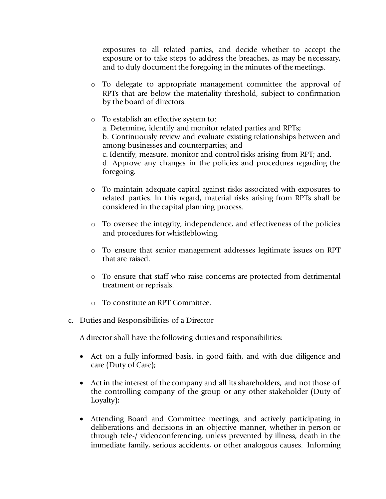exposures to all related parties, and decide whether to accept the exposure or to take steps to address the breaches, as may be necessary, and to duly document the foregoing in the minutes of the meetings.

- o To delegate to appropriate management committee the approval of RPTs that are below the materiality threshold, subject to confirmation by the board of directors.
- o To establish an effective system to: a. Determine, identify and monitor related parties and RPTs; b. Continuously review and evaluate existing relationships between and among businesses and counterparties; and c. Identify, measure, monitor and control risks arising from RPT; and. d. Approve any changes in the policies and procedures regarding the foregoing.
- o To maintain adequate capital against risks associated with exposures to related parties. ln this regard, material risks arising from RPTs shall be considered in the capital planning process.
- o To oversee the integrity, independence, and effectiveness of the policies and procedures for whistleblowing.
- o To ensure that senior management addresses legitimate issues on RPT that are raised.
- o To ensure that staff who raise concerns are protected from detrimental treatment or reprisals.
- To constitute an RPT Committee.
- c. Duties and Responsibilities of a Director

A director shall have the following duties and responsibilities:

- Act on a fully informed basis, in good faith, and with due diligence and care (Duty of Care);
- Act in the interest of the company and all its shareholders, and not those of the controlling company of the group or any other stakeholder (Duty of Loyalty);
- Attending Board and Committee meetings, and actively participating in deliberations and decisions in an objective manner, whether in person or through tele-/ videoconferencing, unless prevented by illness, death in the immediate family, serious accidents, or other analogous causes. Informing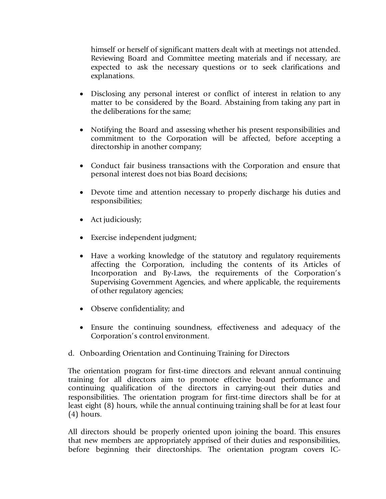himself or herself of significant matters dealt with at meetings not attended. Reviewing Board and Committee meeting materials and if necessary, are expected to ask the necessary questions or to seek clarifications and explanations.

- Disclosing any personal interest or conflict of interest in relation to any matter to be considered by the Board. Abstaining from taking any part in the deliberations for the same;
- Notifying the Board and assessing whether his present responsibilities and commitment to the Corporation will be affected, before accepting a directorship in another company;
- Conduct fair business transactions with the Corporation and ensure that personal interest does not bias Board decisions;
- Devote time and attention necessary to properly discharge his duties and responsibilities;
- Act judiciously;
- Exercise independent judgment;
- Have a working knowledge of the statutory and regulatory requirements affecting the Corporation, including the contents of its Articles of Incorporation and By-Laws, the requirements of the Corporation's Supervising Government Agencies, and where applicable, the requirements of other regulatory agencies;
- Observe confidentiality; and
- Ensure the continuing soundness, effectiveness and adequacy of the Corporation's control environment.
- d. Onboarding Orientation and Continuing Training for Directors

The orientation program for first-time directors and relevant annual continuing training for all directors aim to promote effective board performance and continuing qualification of the directors in carrying-out their duties and responsibilities. The orientation program for first-time directors shall be for at least eight (8) hours, while the annual continuing training shall be for at least four (4) hours.

All directors should be properly oriented upon joining the board. This ensures that new members are appropriately apprised of their duties and responsibilities, before beginning their directorships. The orientation program covers IC-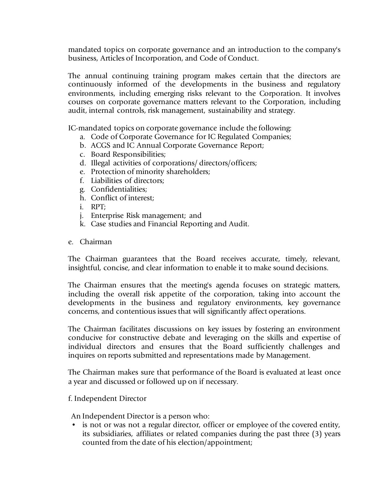mandated topics on corporate governance and an introduction to the company's business, Articles of Incorporation, and Code of Conduct.

The annual continuing training program makes certain that the directors are continuously informed of the developments in the business and regulatory environments, including emerging risks relevant to the Corporation. It involves courses on corporate governance matters relevant to the Corporation, including audit, internal controls, risk management, sustainability and strategy.

IC-mandated topics on corporate governance include the following:

- a. Code of Corporate Governance for IC Regulated Companies;
- b. ACGS and IC Annual Corporate Governance Report;
- c. Board Responsibilities;
- d. Illegal activities of corporations/ directors/officers;
- e. Protection of minority shareholders;
- f. Liabilities of directors;
- g. Confidentialities;
- h. Conflict of interest;
- i. RPT;
- j. Enterprise Risk management; and
- k. Case studies and Financial Reporting and Audit.
- e. Chairman

The Chairman guarantees that the Board receives accurate, timely, relevant, insightful, concise, and clear information to enable it to make sound decisions.

The Chairman ensures that the meeting's agenda focuses on strategic matters, including the overall risk appetite of the corporation, taking into account the developments in the business and regulatory environments, key governance concerns, and contentious issues that will significantly affect operations.

The Chairman facilitates discussions on key issues by fostering an environment conducive for constructive debate and leveraging on the skills and expertise of individual directors and ensures that the Board sufficiently challenges and inquires on reports submitted and representations made by Management.

The Chairman makes sure that performance of the Board is evaluated at least once a year and discussed or followed up on if necessary.

f. Independent Director

An Independent Director is a person who:

is not or was not a regular director, officer or employee of the covered entity, its subsidiaries, affiliates or related companies during the past three (3) years counted from the date of his election/appointment;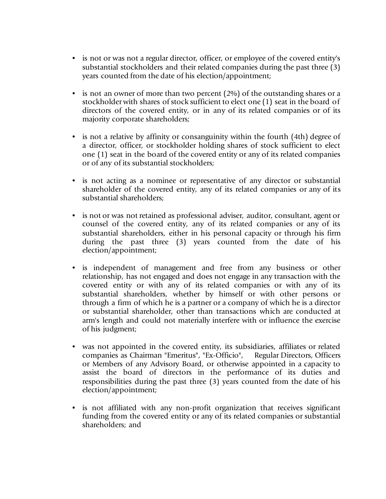- is not or was not a regular director, officer, or employee of the covered entity's substantial stockholders and their related companies during the past three (3) years counted from the date of his election/appointment;
- is not an owner of more than two percent (2%) of the outstanding shares or a stockholder with shares of stock sufficient to elect one (1) seat in the board of directors of the covered entity, or in any of its related companies or of its majority corporate shareholders;
- is not a relative by affinity or consanguinity within the fourth (4th) degree of a director, officer, or stockholder holding shares of stock sufficient to elect one (1) seat in the board of the covered entity or any of its related companies or of any of its substantial stockholders;
- is not acting as a nominee or representative of any director or substantial shareholder of the covered entity, any of its related companies or any of its substantial shareholders;
- is not or was not retained as professional adviser, auditor, consultant, agent or counsel of the covered entity, any of its related companies or any of its substantial shareholders, either in his personal capacity or through his firm during the past three (3) years counted from the date of his election/appointment;
- is independent of management and free from any business or other relationship, has not engaged and does not engage in any transaction with the covered entity or with any of its related companies or with any of its substantial shareholders, whether by himself or with other persons or through a firm of which he is a partner or a company of which he is a director or substantial shareholder, other than transactions which are conducted at arm's length and could not materially interfere with or influence the exercise of his judgment;
- was not appointed in the covered entity, its subsidiaries, affiliates or related companies as Chairman "Emeritus", "Ex-Officio", Regular Directors, Officers or Members of any Advisory Board, or otherwise appointed in a capacity to assist the board of directors in the performance of its duties and responsibilities during the past three (3) years counted from the date of his election/appointment;
- is not affiliated with any non-profit organization that receives significant funding from the covered entity or any of its related companies or substantial shareholders; and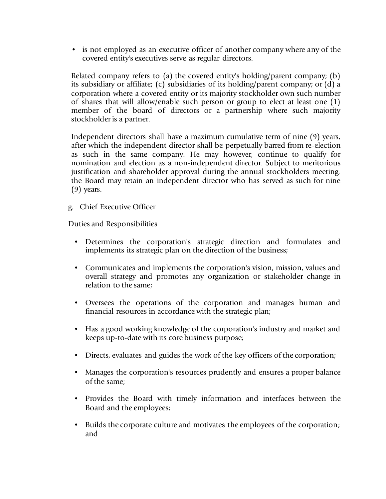• is not employed as an executive officer of another company where any of the covered entity's executives serve as regular directors.

Related company refers to (a) the covered entity's holding/parent company; (b) its subsidiary or affiliate; (c) subsidiaries of its holding/parent company; or (d) a corporation where a covered entity or its majority stockholder own such number of shares that will allow/enable such person or group to elect at least one (1) member of the board of directors or a partnership where such majority stockholder is a partner.

Independent directors shall have a maximum cumulative term of nine (9) years, after which the independent director shall be perpetually barred from re-election as such in the same company. He may however, continue to qualify for nomination and election as a non-independent director. Subject to meritorious justification and shareholder approval during the annual stockholders meeting, the Board may retain an independent director who has served as such for nine (9) years.

g. Chief Executive Officer

Duties and Responsibilities

- Determines the corporation's strategic direction and formulates and implements its strategic plan on the direction of the business;
- Communicates and implements the corporation's vision, mission, values and overall strategy and promotes any organization or stakeholder change in relation to the same;
- Oversees the operations of the corporation and manages human and financial resources in accordance with the strategic plan;
- Has a good working knowledge of the corporation's industry and market and keeps up-to-date with its core business purpose;
- Directs, evaluates and guides the work of the key officers of the corporation;
- Manages the corporation's resources prudently and ensures a proper balance of the same;
- Provides the Board with timely information and interfaces between the Board and the employees;
- Builds the corporate culture and motivates the employees of the corporation; and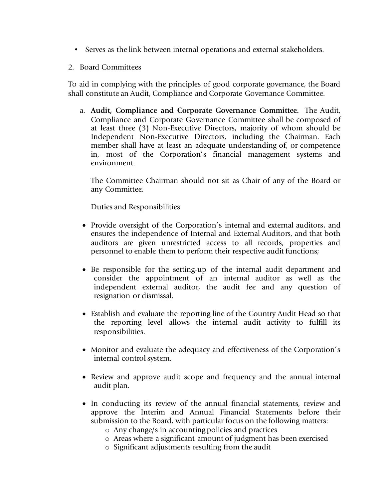- Serves as the link between internal operations and external stakeholders.
- 2. Board Committees

To aid in complying with the principles of good corporate governance, the Board shall constitute an Audit, Compliance and Corporate Governance Committee.

a. **Audit, Compliance and Corporate Governance Committee.** The Audit, Compliance and Corporate Governance Committee shall be composed of at least three (3) Non-Executive Directors, majority of whom should be Independent Non-Executive Directors, including the Chairman. Each member shall have at least an adequate understanding of, or competence in, most of the Corporation's financial management systems and environment.

The Committee Chairman should not sit as Chair of any of the Board or any Committee.

Duties and Responsibilities

- Provide oversight of the Corporation's internal and external auditors, and ensures the independence of Internal and External Auditors, and that both auditors are given unrestricted access to all records, properties and personnel to enable them to perform their respective audit functions;
- Be responsible for the setting-up of the internal audit department and consider the appointment of an internal auditor as well as the independent external auditor, the audit fee and any question of resignation or dismissal.
- Establish and evaluate the reporting line of the Country Audit Head so that the reporting level allows the internal audit activity to fulfill its responsibilities.
- Monitor and evaluate the adequacy and effectiveness of the Corporation's internal control system.
- Review and approve audit scope and frequency and the annual internal audit plan.
- In conducting its review of the annual financial statements, review and approve the Interim and Annual Financial Statements before their submission to the Board, with particular focus on the following matters:
	- o Any change/s in accounting policies and practices
	- o Areas where a significant amount of judgment has been exercised
	- o Significant adjustments resulting from the audit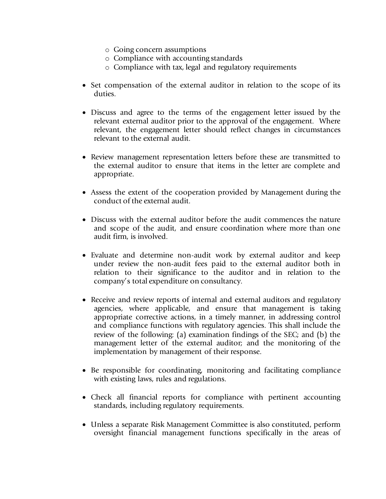- o Going concern assumptions
- o Compliance with accounting standards
- o Compliance with tax, legal and regulatory requirements
- Set compensation of the external auditor in relation to the scope of its duties.
- Discuss and agree to the terms of the engagement letter issued by the relevant external auditor prior to the approval of the engagement. Where relevant, the engagement letter should reflect changes in circumstances relevant to the external audit.
- Review management representation letters before these are transmitted to the external auditor to ensure that items in the letter are complete and appropriate.
- Assess the extent of the cooperation provided by Management during the conduct of the external audit.
- Discuss with the external auditor before the audit commences the nature and scope of the audit, and ensure coordination where more than one audit firm, is involved.
- Evaluate and determine non-audit work by external auditor and keep under review the non-audit fees paid to the external auditor both in relation to their significance to the auditor and in relation to the company's total expenditure on consultancy.
- Receive and review reports of internal and external auditors and regulatory agencies, where applicable, and ensure that management is taking appropriate corrective actions, in a timely manner, in addressing control and compliance functions with regulatory agencies. This shall include the review of the following: (a) examination findings of the SEC; and (b) the management letter of the external auditor; and the monitoring of the implementation by management of their response.
- Be responsible for coordinating, monitoring and facilitating compliance with existing laws, rules and regulations.
- Check all financial reports for compliance with pertinent accounting standards, including regulatory requirements.
- Unless a separate Risk Management Committee is also constituted, perform oversight financial management functions specifically in the areas of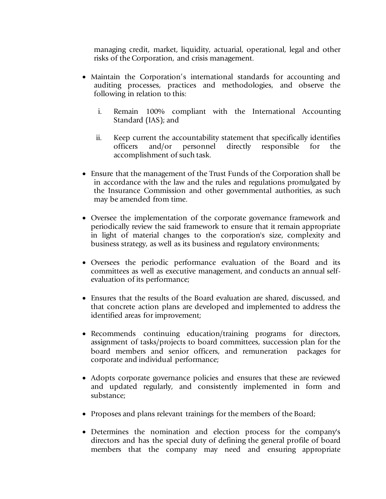managing credit, market, liquidity, actuarial, operational, legal and other risks of the Corporation, and crisis management.

- Maintain the Corporation's international standards for accounting and auditing processes, practices and methodologies, and observe the following in relation to this:
	- i. Remain 100% compliant with the International Accounting Standard (IAS); and
	- ii. Keep current the accountability statement that specifically identifies officers and/or personnel directly responsible for the accomplishment of such task.
- Ensure that the management of the Trust Funds of the Corporation shall be in accordance with the law and the rules and regulations promulgated by the Insurance Commission and other governmental authorities, as such may be amended from time.
- Oversee the implementation of the corporate governance framework and periodically review the said framework to ensure that it remain appropriate in light of material changes to the corporation's size, complexity and business strategy, as well as its business and regulatory environments;
- Oversees the periodic performance evaluation of the Board and its committees as well as executive management, and conducts an annual selfevaluation of its performance;
- Ensures that the results of the Board evaluation are shared, discussed, and that concrete action plans are developed and implemented to address the identified areas for improvement;
- Recommends continuing education/training programs for directors, assignment of tasks/projects to board committees, succession plan for the board members and senior officers, and remuneration packages for corporate and individual performance;
- Adopts corporate governance policies and ensures that these are reviewed and updated regularly, and consistently implemented in form and substance;
- Proposes and plans relevant trainings for the members of the Board;
- Determines the nomination and election process for the company's directors and has the special duty of defining the general profile of board members that the company may need and ensuring appropriate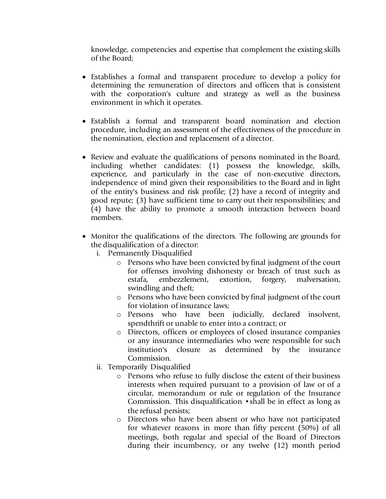knowledge, competencies and expertise that complement the existing skills of the Board;

- Establishes a formal and transparent procedure to develop a policy for determining the remuneration of directors and officers that is consistent with the corporation's culture and strategy as well as the business environment in which it operates.
- Establish a formal and transparent board nomination and election procedure, including an assessment of the effectiveness of the procedure in the nomination, election and replacement of a director.
- Review and evaluate the qualifications of persons nominated in the Board, including whether candidates: (1) possess the knowledge, skills, experience, and particularly in the case of non-executive directors, independence of mind given their responsibilities to the Board and in light of the entity's business and risk profile; (2) have a record of integrity and good repute; (3) have sufficient time to carry out their responsibilities; and (4) have the ability to promote a smooth interaction between board members.
- Monitor the qualifications of the directors. The following are grounds for the disqualification of a director:
	- i. Permanently Disqualified
		- o Persons who have been convicted by final judgment of the court for offenses involving dishonesty or breach of trust such as estafa, embezzlement, extortion, forgery, malversation, swindling and theft;
		- o Persons who have been convicted by final judgment of the court for violation of insurance laws;
		- o Persons who have been judicially, declared insolvent, spendthrift or unable to enter into a contract; or
		- o Directors, officers or employees of closed insurance companies or any insurance intermediaries who were responsible for such institution's closure as determined by the insurance Commission.
	- ii. Temporarily Disqualified
		- o Persons who refuse to fully disclose the extent of their business interests when required pursuant to a provision of law or of a circular, memorandum or rule or regulation of the Insurance Commission. This disqualification •shall be in effect as long as the refusal persists;
		- o Directors who have been absent or who have not participated for whatever reasons in more than fifty percent (50%) of all meetings, both regular and special of the Board of Directors during their incumbency, or any twelve (12) month period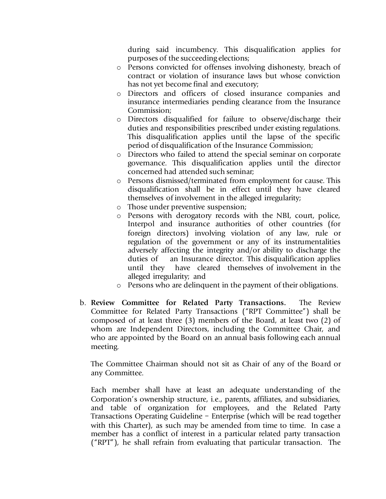during said incumbency. This disqualification applies for purposes of the succeeding elections;

- o Persons convicted for offenses involving dishonesty, breach of contract or violation of insurance laws but whose conviction has not yet become final and executory;
- o Directors and officers of closed insurance companies and insurance intermediaries pending clearance from the Insurance Commission;
- o Directors disqualified for failure to observe/discharge their duties and responsibilities prescribed under existing regulations. This disqualification applies until the lapse of the specific period of disqualification of the Insurance Commission;
- o Directors who failed to attend the special seminar on corporate governance. This disqualification applies until the director concerned had attended such seminar;
- Persons dismissed/terminated from employment for cause. This disqualification shall be in effect until they have cleared themselves of involvement in the alleged irregularity;
- o Those under preventive suspension;
- o Persons with derogatory records with the NBI, court, police, Interpol and insurance authorities of other countries (for foreign directors) involving violation of any law, rule or regulation of the government or any of its instrumentalities adversely affecting the integrity and/or ability to discharge the duties of an Insurance director. This disqualification applies until they have cleared themselves of involvement in the alleged irregularity; and
- o Persons who are delinquent in the payment of their obligations.
- b. **Review Committee for Related Party Transactions.** The Review Committee for Related Party Transactions ("RPT Committee") shall be composed of at least three (3) members of the Board, at least two (2) of whom are Independent Directors, including the Committee Chair, and who are appointed by the Board on an annual basis following each annual meeting.

The Committee Chairman should not sit as Chair of any of the Board or any Committee.

Each member shall have at least an adequate understanding of the Corporation's ownership structure, i.e., parents, affiliates, and subsidiaries, and table of organization for employees, and the Related Party Transactions Operating Guideline – Enterprise (which will be read together with this Charter), as such may be amended from time to time. In case a member has a conflict of interest in a particular related party transaction ("RPT"), he shall refrain from evaluating that particular transaction. The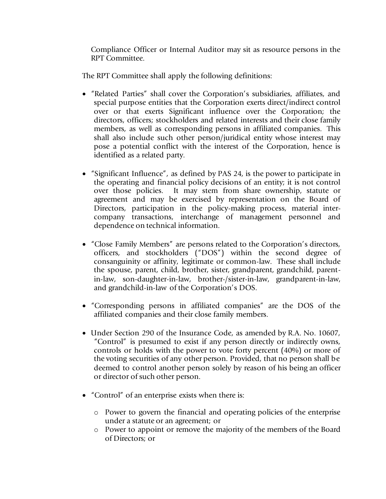Compliance Officer or Internal Auditor may sit as resource persons in the RPT Committee.

The RPT Committee shall apply the following definitions:

- "Related Parties" shall cover the Corporation's subsidiaries, affiliates, and special purpose entities that the Corporation exerts direct/indirect control over or that exerts Significant influence over the Corporation; the directors, officers; stockholders and related interests and their close family members, as well as corresponding persons in affiliated companies. This shall also include such other person/juridical entity whose interest may pose a potential conflict with the interest of the Corporation, hence is identified as a related party.
- "Significant Influence", as defined by PAS 24, is the power to participate in the operating and financial policy decisions of an entity; it is not control over those policies. It may stem from share ownership, statute or agreement and may be exercised by representation on the Board of Directors, participation in the policy-making process, material intercompany transactions, interchange of management personnel and dependence on technical information.
- "Close Family Members" are persons related to the Corporation's directors, officers, and stockholders ("DOS") within the second degree of consanguinity or affinity, legitimate or common-law. These shall include the spouse, parent, child, brother, sister, grandparent, grandchild, parentin-law, son-daughter-in-law, brother-/sister-in-law, grandparent-in-law, and grandchild-in-law of the Corporation's DOS.
- "Corresponding persons in affiliated companies" are the DOS of the affiliated companies and their close family members.
- Under Section 290 of the Insurance Code, as amended by R.A. No. 10607, "Control" is presumed to exist if any person directly or indirectly owns, controls or holds with the power to vote forty percent (40%) or more of the voting securities of any other person. Provided, that no person shall be deemed to control another person solely by reason of his being an officer or director of such other person.
- "Control" of an enterprise exists when there is:
	- o Power to govern the financial and operating policies of the enterprise under a statute or an agreement; or
	- o Power to appoint or remove the majority of the members of the Board of Directors; or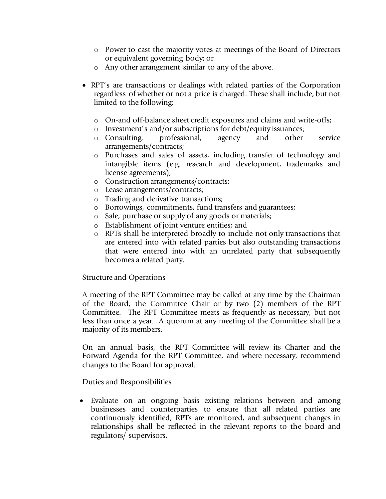- o Power to cast the majority votes at meetings of the Board of Directors or equivalent governing body; or
- o Any other arrangement similar to any of the above.
- RPT's are transactions or dealings with related parties of the Corporation regardless of whether or not a price is charged. These shall include, but not limited to the following:
	- o On-and off-balance sheet credit exposures and claims and write-offs;
	- o Investment's and/or subscriptions for debt/equity issuances;
	- o Consulting, professional, agency and other service arrangements/contracts;
	- o Purchases and sales of assets, including transfer of technology and intangible items (e.g. research and development, trademarks and license agreements);
	- o Construction arrangements/contracts;
	- o Lease arrangements/contracts;
	- o Trading and derivative transactions;
	- o Borrowings, commitments, fund transfers and guarantees;
	- o Sale, purchase or supply of any goods or materials;
	- o Establishment of joint venture entities; and
	- o RPTs shall be interpreted broadly to include not only transactions that are entered into with related parties but also outstanding transactions that were entered into with an unrelated party that subsequently becomes a related party.

Structure and Operations

A meeting of the RPT Committee may be called at any time by the Chairman of the Board, the Committee Chair or by two (2) members of the RPT Committee. The RPT Committee meets as frequently as necessary, but not less than once a year. A quorum at any meeting of the Committee shall be a majority of its members.

On an annual basis, the RPT Committee will review its Charter and the Forward Agenda for the RPT Committee, and where necessary, recommend changes to the Board for approval.

Duties and Responsibilities

• Evaluate on an ongoing basis existing relations between and among businesses and counterparties to ensure that all related parties are continuously identified, RPTs are monitored, and subsequent changes in relationships shall be reflected in the relevant reports to the board and regulators/ supervisors.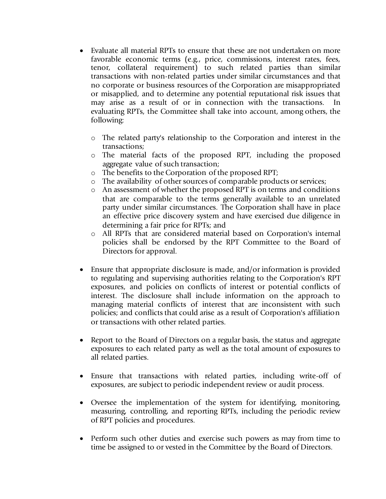- Evaluate all material RPTs to ensure that these are not undertaken on more favorable economic terms (e.g., price, commissions, interest rates, fees, tenor, collateral requirement) to such related parties than similar transactions with non-related parties under similar circumstances and that no corporate or business resources of the Corporation are misappropriated or misapplied, and to determine any potential reputational risk issues that may arise as a result of or in connection with the transactions. In evaluating RPTs, the Committee shall take into account, among others, the following:
	- o The related party's relationship to the Corporation and interest in the transactions;
	- o The material facts of the proposed RPT, including the proposed aggregate value of such transaction;
	- o The benefits to the Corporation of the proposed RPT;
	- o The availability of other sources of comparable products or services;
	- o An assessment of whether the proposed RPT is on terms and conditions that are comparable to the terms generally available to an unrelated party under similar circumstances. The Corporation shall have in place an effective price discovery system and have exercised due diligence in determining a fair price for RPTs; and
	- o All RPTs that are considered material based on Corporation's internal policies shall be endorsed by the RPT Committee to the Board of Directors for approval.
- Ensure that appropriate disclosure is made, and/or information is provided to regulating and supervising authorities relating to the Corporation's RPT exposures, and policies on conflicts of interest or potential conflicts of interest. The disclosure shall include information on the approach to managing material conflicts of interest that are inconsistent with such policies; and conflicts that could arise as a result of Corporation's affiliation or transactions with other related parties.
- Report to the Board of Directors on a regular basis, the status and aggregate exposures to each related party as well as the total amount of exposures to all related parties.
- Ensure that transactions with related parties, including write-off of exposures, are subject to periodic independent review or audit process.
- Oversee the implementation of the system for identifying, monitoring, measuring, controlling, and reporting RPTs, including the periodic review of RPT policies and procedures.
- Perform such other duties and exercise such powers as may from time to time be assigned to or vested in the Committee by the Board of Directors.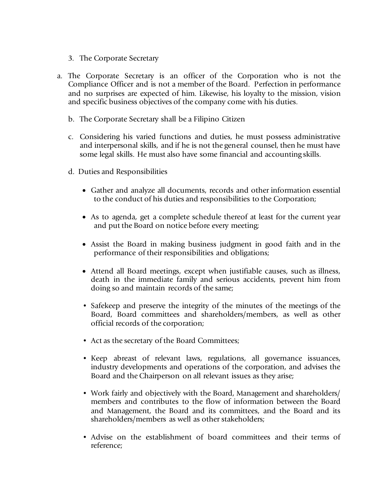- 3. The Corporate Secretary
- a. The Corporate Secretary is an officer of the Corporation who is not the Compliance Officer and is not a member of the Board. Perfection in performance and no surprises are expected of him. Likewise, his loyalty to the mission, vision and specific business objectives of the company come with his duties.
	- b. The Corporate Secretary shall be a Filipino Citizen
	- c. Considering his varied functions and duties, he must possess administrative and interpersonal skills, and if he is not the general counsel, then he must have some legal skills. He must also have some financial and accounting skills.
	- d. Duties and Responsibilities
		- Gather and analyze all documents, records and other information essential to the conduct of his duties and responsibilities to the Corporation;
		- As to agenda, get a complete schedule thereof at least for the current year and put the Board on notice before every meeting;
		- Assist the Board in making business judgment in good faith and in the performance of their responsibilities and obligations;
		- Attend all Board meetings, except when justifiable causes, such as illness, death in the immediate family and serious accidents, prevent him from doing so and maintain records of the same;
		- Safekeep and preserve the integrity of the minutes of the meetings of the Board, Board committees and shareholders/members, as well as other official records of the corporation;
		- Act as the secretary of the Board Committees;
		- Keep abreast of relevant laws, regulations, all governance issuances, industry developments and operations of the corporation, and advises the Board and the Chairperson on all relevant issues as they arise;
		- Work fairly and objectively with the Board, Management and shareholders/ members and contributes to the flow of information between the Board and Management, the Board and its committees, and the Board and its shareholders/members as well as other stakeholders;
		- Advise on the establishment of board committees and their terms of reference;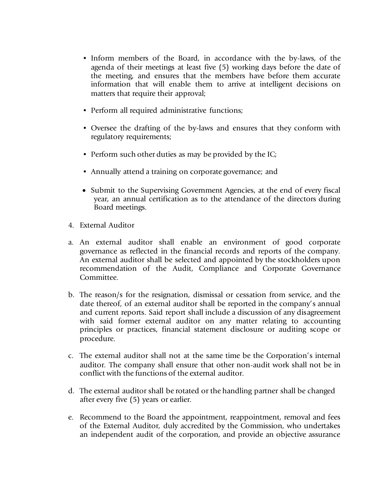- Inform members of the Board, in accordance with the by-laws, of the agenda of their meetings at least five (5) working days before the date of the meeting, and ensures that the members have before them accurate information that will enable them to arrive at intelligent decisions on matters that require their approval;
- Perform all required administrative functions;
- Oversee the drafting of the by-laws and ensures that they conform with regulatory requirements;
- Perform such other duties as may be provided by the IC;
- Annually attend a training on corporate governance; and
- Submit to the Supervising Government Agencies, at the end of every fiscal year, an annual certification as to the attendance of the directors during Board meetings.
- 4. External Auditor
- a. An external auditor shall enable an environment of good corporate governance as reflected in the financial records and reports of the company. An external auditor shall be selected and appointed by the stockholders upon recommendation of the Audit, Compliance and Corporate Governance Committee.
- b. The reason/s for the resignation, dismissal or cessation from service, and the date thereof, of an external auditor shall be reported in the company's annual and current reports. Said report shall include a discussion of any disagreement with said former external auditor on any matter relating to accounting principles or practices, financial statement disclosure or auditing scope or procedure.
- c. The external auditor shall not at the same time be the Corporation's internal auditor. The company shall ensure that other non-audit work shall not be in conflict with the functions of the external auditor.
- d. The external auditor shall be rotated or the handling partner shall be changed after every five (5) years or earlier.
- e. Recommend to the Board the appointment, reappointment, removal and fees of the External Auditor, duly accredited by the Commission, who undertakes an independent audit of the corporation, and provide an objective assurance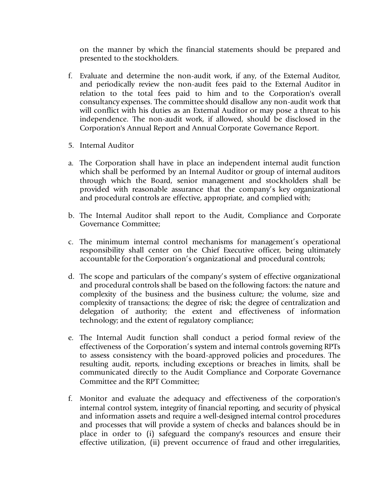on the manner by which the financial statements should be prepared and presented to the stockholders.

- f. Evaluate and determine the non-audit work, if any, of the External Auditor, and periodically review the non-audit fees paid to the External Auditor in relation to the total fees paid to him and to the Corporation's overall consultancy expenses. The committee should disallow any non-audit work that will conflict with his duties as an External Auditor or may pose a threat to his independence. The non-audit work, if allowed, should be disclosed in the Corporation's Annual Report and Annual Corporate Governance Report.
- 5. Internal Auditor
- a. The Corporation shall have in place an independent internal audit function which shall be performed by an Internal Auditor or group of internal auditors through which the Board, senior management and stockholders shall be provided with reasonable assurance that the company's key organizational and procedural controls are effective, appropriate, and complied with;
- b. The Internal Auditor shall report to the Audit, Compliance and Corporate Governance Committee;
- c. The minimum internal control mechanisms for management's operational responsibility shall center on the Chief Executive officer, being ultimately accountable for the Corporation's organizational and procedural controls;
- d. The scope and particulars of the company's system of effective organizational and procedural controls shall be based on the following factors: the nature and complexity of the business and the business culture; the volume, size and complexity of transactions; the degree of risk; the degree of centralization and delegation of authority; the extent and effectiveness of information technology; and the extent of regulatory compliance;
- e. The Internal Audit function shall conduct a period formal review of the effectiveness of the Corporation's system and internal controls governing RPTs to assess consistency with the board-approved policies and procedures. The resulting audit, reports, including exceptions or breaches in limits, shall be communicated directly to the Audit Compliance and Corporate Governance Committee and the RPT Committee;
- f. Monitor and evaluate the adequacy and effectiveness of the corporation's internal control system, integrity of financial reporting, and security of physical and information assets and require a well-designed internal control procedures and processes that will provide a system of checks and balances should be in place in order to (i) safeguard the company's resources and ensure their effective utilization, (ii) prevent occurrence of fraud and other irregularities,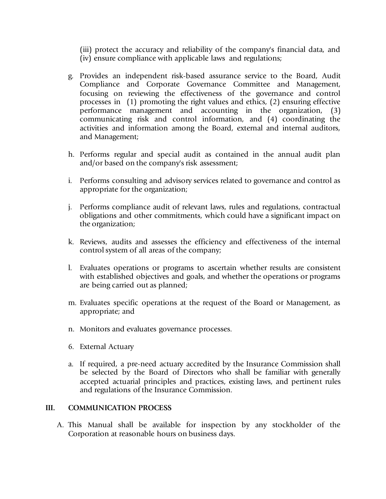(iii) protect the accuracy and reliability of the company's financial data, and (iv) ensure compliance with applicable laws and regulations;

- g. Provides an independent risk-based assurance service to the Board, Audit Compliance and Corporate Governance Committee and Management, focusing on reviewing the effectiveness of the governance and control processes in (1) promoting the right values and ethics, (2) ensuring effective performance management and accounting in the organization, (3) communicating risk and control information, and (4) coordinating the activities and information among the Board, external and internal auditors, and Management;
- h. Performs regular and special audit as contained in the annual audit plan and/or based on the company's risk assessment;
- i. Performs consulting and advisory services related to governance and control as appropriate for the organization;
- j. Performs compliance audit of relevant laws, rules and regulations, contractual obligations and other commitments, which could have a significant impact on the organization;
- k. Reviews, audits and assesses the efficiency and effectiveness of the internal control system of all areas of the company;
- l. Evaluates operations or programs to ascertain whether results are consistent with established objectives and goals, and whether the operations or programs are being carried out as planned;
- m. Evaluates specific operations at the request of the Board or Management, as appropriate; and
- n. Monitors and evaluates governance processes.
- 6. External Actuary
- a. If required, a pre-need actuary accredited by the Insurance Commission shall be selected by the Board of Directors who shall be familiar with generally accepted actuarial principles and practices, existing laws, and pertinent rules and regulations of the Insurance Commission.

#### **III. COMMUNICATION PROCESS**

A. This Manual shall be available for inspection by any stockholder of the Corporation at reasonable hours on business days.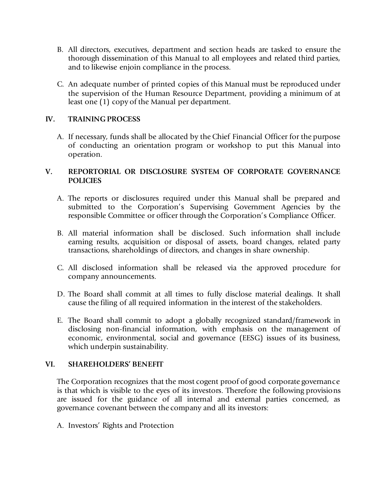- B. All directors, executives, department and section heads are tasked to ensure the thorough dissemination of this Manual to all employees and related third parties, and to likewise enjoin compliance in the process.
- C. An adequate number of printed copies of this Manual must be reproduced under the supervision of the Human Resource Department, providing a minimum of at least one (1) copy of the Manual per department.

#### **IV. TRAINING PROCESS**

A. If necessary, funds shall be allocated by the Chief Financial Officer for the purpose of conducting an orientation program or workshop to put this Manual into operation.

#### **V. REPORTORIAL OR DISCLOSURE SYSTEM OF CORPORATE GOVERNANCE POLICIES**

- A. The reports or disclosures required under this Manual shall be prepared and submitted to the Corporation's Supervising Government Agencies by the responsible Committee or officer through the Corporation's Compliance Officer.
- B. All material information shall be disclosed. Such information shall include earning results, acquisition or disposal of assets, board changes, related party transactions, shareholdings of directors, and changes in share ownership.
- C. All disclosed information shall be released via the approved procedure for company announcements.
- D. The Board shall commit at all times to fully disclose material dealings. It shall cause the filing of all required information in the interest of the stakeholders.
- E. The Board shall commit to adopt a globally recognized standard/framework in disclosing non-financial information, with emphasis on the management of economic, environmental, social and governance (EESG) issues of its business, which underpin sustainability.

#### **VI. SHAREHOLDERS' BENEFIT**

The Corporation recognizes that the most cogent proof of good corporate governance is that which is visible to the eyes of its investors. Therefore the following provisions are issued for the guidance of all internal and external parties concerned, as governance covenant between the company and all its investors:

A. Investors' Rights and Protection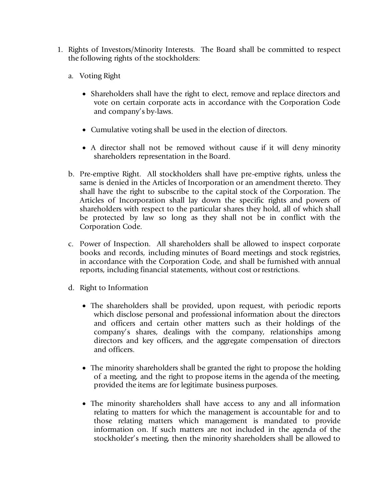- 1. Rights of Investors/Minority Interests. The Board shall be committed to respect the following rights of the stockholders:
	- a. Voting Right
		- Shareholders shall have the right to elect, remove and replace directors and vote on certain corporate acts in accordance with the Corporation Code and company's by-laws.
		- Cumulative voting shall be used in the election of directors.
		- A director shall not be removed without cause if it will deny minority shareholders representation in the Board.
	- b. Pre-emptive Right. All stockholders shall have pre-emptive rights, unless the same is denied in the Articles of Incorporation or an amendment thereto. They shall have the right to subscribe to the capital stock of the Corporation. The Articles of Incorporation shall lay down the specific rights and powers of shareholders with respect to the particular shares they hold, all of which shall be protected by law so long as they shall not be in conflict with the Corporation Code.
	- c. Power of Inspection. All shareholders shall be allowed to inspect corporate books and records, including minutes of Board meetings and stock registries, in accordance with the Corporation Code, and shall be furnished with annual reports, including financial statements, without cost or restrictions.
	- d. Right to Information
		- The shareholders shall be provided, upon request, with periodic reports which disclose personal and professional information about the directors and officers and certain other matters such as their holdings of the company's shares, dealings with the company, relationships among directors and key officers, and the aggregate compensation of directors and officers.
		- The minority shareholders shall be granted the right to propose the holding of a meeting, and the right to propose items in the agenda of the meeting, provided the items are for legitimate business purposes.
		- The minority shareholders shall have access to any and all information relating to matters for which the management is accountable for and to those relating matters which management is mandated to provide information on. If such matters are not included in the agenda of the stockholder's meeting, then the minority shareholders shall be allowed to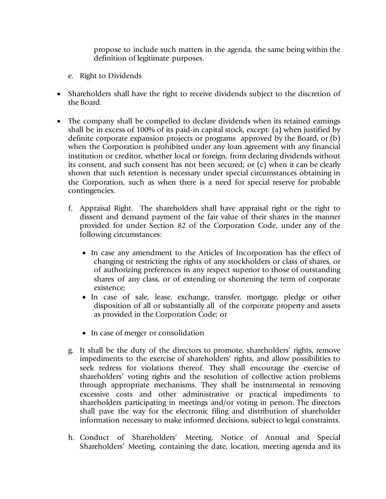propose to include such matters in the agenda, the same being within the definition of legitimate purposes.

- e. Right to Dividends
- Shareholders shall have the right to receive dividends subject to the discretion of the Board.
- The company shall be compelled to declare dividends when its retained earnings shall be in excess of 100% of its paid-in capital stock, except: (a) when justified by definite corporate expansion projects or programs approved by the Board, or (b) when the Corporation is prohibited under any loan agreement with any financial institution or creditor, whether local or foreign, from declaring dividends without its consent, and such consent has not been secured; or (c) when it can be clearly shown that such retention is necessary under special circumstances obtaining in the Corporation, such as when there is a need for special reserve for probable contingencies.
	- f. Appraisal Right. The shareholders shall have appraisal right or the right to dissent and demand payment of the fair value of their shares in the manner provided for under Section 82 of the Corporation Code, under any of the following circumstances:
		- In case any amendment to the Articles of Incorporation has the effect of changing or restricting the rights of any stockholders or class of shares, or of authorizing preferences in any respect superior to those of outstanding shares of any class, or of extending or shortening the term of corporate existence;
		- In case of sale, lease, exchange, transfer, mortgage, pledge or other disposition of all or substantially all of the corporate property and assets as provided in the Corporation Code; or
		- In case of merger or consolidation
	- g. It shall be the duty of the directors to promote, shareholders' rights, remove impediments to the exercise of shareholders' rights, and allow possibilities to seek redress for violations thereof. They shall encourage the exercise of shareholders' voting rights and the resolution of collective action problems through appropriate mechanisms. They shall be instrumental in removing excessive costs and other administrative or practical impediments to shareholders participating in meetings and/or voting in person. The directors shall pave the way for the electronic filing and distribution of shareholder information necessary to make informed decisions, subject to legal constraints.
	- h. Conduct of Shareholders' Meeting. Notice of Annual and Special Shareholders' Meeting, containing the date, location, meeting agenda and its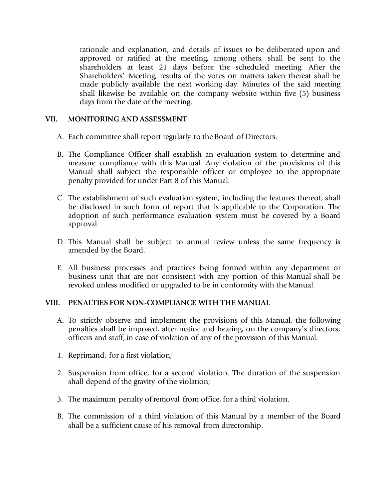rationale and explanation, and details of issues to be deliberated upon and approved or ratified at the meeting, among others, shall be sent to the shareholders at least 21 days before the scheduled meeting. After the Shareholders' Meeting, results of the votes on matters taken thereat shall be made publicly available the next working day. Minutes of the said meeting shall likewise be available on the company website within five (5) business days from the date of the meeting.

#### **VII. MONITORING AND ASSESSMENT**

- A. Each committee shall report regularly to the Board of Directors.
- B. The Compliance Officer shall establish an evaluation system to determine and measure compliance with this Manual. Any violation of the provisions of this Manual shall subject the responsible officer or employee to the appropriate penalty provided for under Part 8 of this Manual.
- C. The establishment of such evaluation system, including the features thereof, shall be disclosed in such form of report that is applicable to the Corporation. The adoption of such performance evaluation system must be covered by a Board approval.
- D. This Manual shall be subject to annual review unless the same frequency is amended by the Board.
- E. All business processes and practices being formed within any department or business unit that are not consistent with any portion of this Manual shall be revoked unless modified or upgraded to be in conformity with the Manual.

#### **VIII. PENALTIES FOR NON-COMPLIANCE WITH THE MANUAL**

- A. To strictly observe and implement the provisions of this Manual, the following penalties shall be imposed, after notice and hearing, on the company's directors, officers and staff, in case of violation of any of the provision of this Manual:
- 1. Reprimand, for a first violation;
- 2. Suspension from office, for a second violation. The duration of the suspension shall depend of the gravity of the violation;
- 3. The maximum penalty of removal from office, for a third violation.
- B. The commission of a third violation of this Manual by a member of the Board shall be a sufficient cause of his removal from directorship.